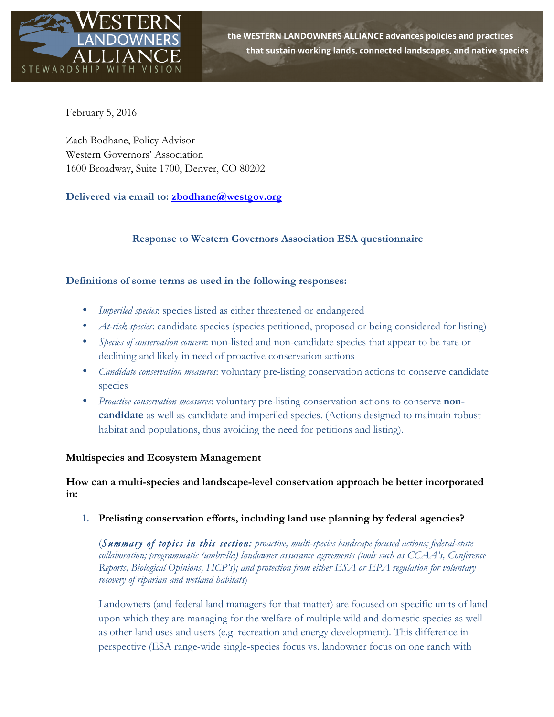

the WESTERN LANDOWNERS ALLIANCE advances policies and practices that sustain working lands, connected landscapes, and native species

February 5, 2016

Zach Bodhane, Policy Advisor Western Governors' Association 1600 Broadway, Suite 1700, Denver, CO 80202

**Delivered via email to: zbodhane@westgov.org**

# **Response to Western Governors Association ESA questionnaire**

# **Definitions of some terms as used in the following responses:**

- *Imperiled species*: species listed as either threatened or endangered
- *At-risk species*: candidate species (species petitioned, proposed or being considered for listing)
- *Species of conservation concern*: non-listed and non-candidate species that appear to be rare or declining and likely in need of proactive conservation actions
- *Candidate conservation measures*: voluntary pre-listing conservation actions to conserve candidate species
- *Proactive conservation measures*: voluntary pre-listing conservation actions to conserve **noncandidate** as well as candidate and imperiled species. (Actions designed to maintain robust habitat and populations, thus avoiding the need for petitions and listing).

### **Multispecies and Ecosystem Management**

**How can a multi-species and landscape-level conservation approach be better incorporated in:**

**1. Prelisting conservation efforts, including land use planning by federal agencies?** 

(*Summary of topics in this section: proactive, multi-species landscape focused actions; federal-state collaboration; programmatic (umbrella) landowner assurance agreements (tools such as CCAA's, Conference Reports, Biological Opinions, HCP's); and protection from either ESA or EPA regulation for voluntary recovery of riparian and wetland habitats*)

Landowners (and federal land managers for that matter) are focused on specific units of land upon which they are managing for the welfare of multiple wild and domestic species as well as other land uses and users (e.g. recreation and energy development). This difference in perspective (ESA range-wide single-species focus vs. landowner focus on one ranch with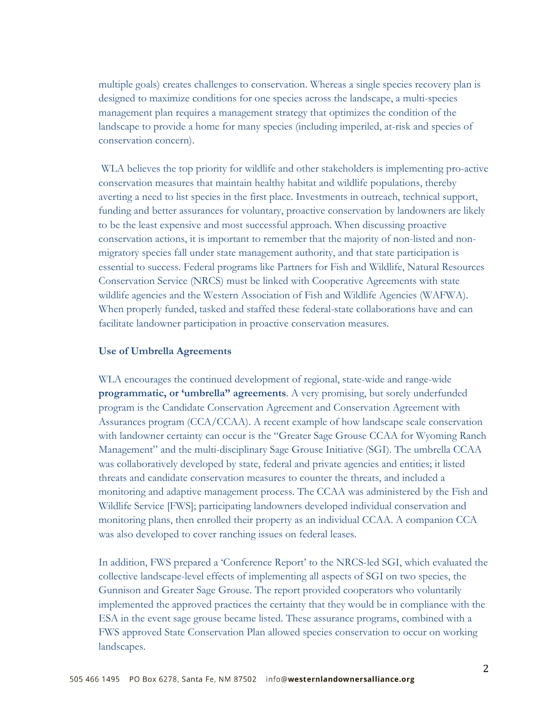multiple goals) creates challenges to conservation. Whereas a single species recovery plan is designed to maximize conditions for one species across the landscape, a multi-species management plan requires a management strategy that optimizes the condition of the landscape to provide a home for many species (including imperiled, at-risk and species of conservation concern).

WLA believes the top priority for wildlife and other stakeholders is implementing pro-active conservation measures that maintain healthy habitat and wildlife populations, thereby averting a need to list species in the first place. Investments in outreach, technical support, funding and better assurances for voluntary, proactive conservation by landowners are likely to be the least expensive and most successful approach. When discussing proactive conservation actions, it is important to remember that the majority of non-listed and nonmigratory species fall under state management authority, and that state participation is essential to success. Federal programs like Partners for Fish and Wildlife, Natural Resources Conservation Service (NRCS) must be linked with Cooperative Agreements with state wildlife agencies and the Western Association of Fish and Wildlife Agencies (WAFWA). When properly funded, tasked and staffed these federal-state collaborations have and can facilitate landowner participation in proactive conservation measures.

#### **Use of Umbrella Agreements**

WLA encourages the continued development of regional, state-wide and range-wide **programmatic, or 'umbrella" agreements**. A very promising, but sorely underfunded program is the Candidate Conservation Agreement and Conservation Agreement with Assurances program (CCA/CCAA). A recent example of how landscape scale conservation with landowner certainty can occur is the "Greater Sage Grouse CCAA for Wyoming Ranch Management" and the multi-disciplinary Sage Grouse Initiative (SGI). The umbrella CCAA was collaboratively developed by state, federal and private agencies and entities; it listed threats and candidate conservation measures to counter the threats, and included a monitoring and adaptive management process. The CCAA was administered by the Fish and Wildlife Service [FWS]; participating landowners developed individual conservation and monitoring plans, then enrolled their property as an individual CCAA. A companion CCA was also developed to cover ranching issues on federal leases.

In addition, FWS prepared a 'Conference Report' to the NRCS-led SGI, which evaluated the collective landscape-level effects of implementing all aspects of SGI on two species, the Gunnison and Greater Sage Grouse. The report provided cooperators who voluntarily implemented the approved practices the certainty that they would be in compliance with the ESA in the event sage grouse became listed. These assurance programs, combined with a FWS approved State Conservation Plan allowed species conservation to occur on working landscapes.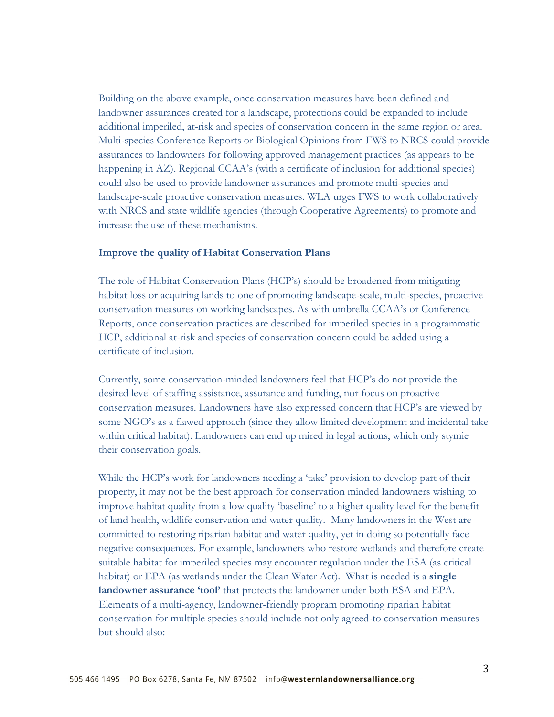Building on the above example, once conservation measures have been defined and landowner assurances created for a landscape, protections could be expanded to include additional imperiled, at-risk and species of conservation concern in the same region or area. Multi-species Conference Reports or Biological Opinions from FWS to NRCS could provide assurances to landowners for following approved management practices (as appears to be happening in AZ). Regional CCAA's (with a certificate of inclusion for additional species) could also be used to provide landowner assurances and promote multi-species and landscape-scale proactive conservation measures. WLA urges FWS to work collaboratively with NRCS and state wildlife agencies (through Cooperative Agreements) to promote and increase the use of these mechanisms.

#### **Improve the quality of Habitat Conservation Plans**

The role of Habitat Conservation Plans (HCP's) should be broadened from mitigating habitat loss or acquiring lands to one of promoting landscape-scale, multi-species, proactive conservation measures on working landscapes. As with umbrella CCAA's or Conference Reports, once conservation practices are described for imperiled species in a programmatic HCP, additional at-risk and species of conservation concern could be added using a certificate of inclusion.

Currently, some conservation-minded landowners feel that HCP's do not provide the desired level of staffing assistance, assurance and funding, nor focus on proactive conservation measures. Landowners have also expressed concern that HCP's are viewed by some NGO's as a flawed approach (since they allow limited development and incidental take within critical habitat). Landowners can end up mired in legal actions, which only stymie their conservation goals.

While the HCP's work for landowners needing a 'take' provision to develop part of their property, it may not be the best approach for conservation minded landowners wishing to improve habitat quality from a low quality 'baseline' to a higher quality level for the benefit of land health, wildlife conservation and water quality. Many landowners in the West are committed to restoring riparian habitat and water quality, yet in doing so potentially face negative consequences. For example, landowners who restore wetlands and therefore create suitable habitat for imperiled species may encounter regulation under the ESA (as critical habitat) or EPA (as wetlands under the Clean Water Act). What is needed is a **single landowner assurance 'tool'** that protects the landowner under both ESA and EPA. Elements of a multi-agency, landowner-friendly program promoting riparian habitat conservation for multiple species should include not only agreed-to conservation measures but should also: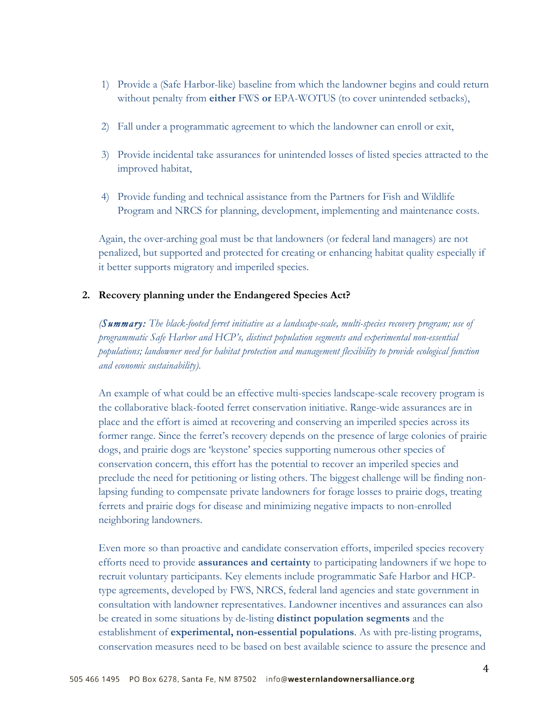- 1) Provide a (Safe Harbor-like) baseline from which the landowner begins and could return without penalty from **either** FWS **or** EPA-WOTUS (to cover unintended setbacks),
- 2) Fall under a programmatic agreement to which the landowner can enroll or exit,
- 3) Provide incidental take assurances for unintended losses of listed species attracted to the improved habitat,
- 4) Provide funding and technical assistance from the Partners for Fish and Wildlife Program and NRCS for planning, development, implementing and maintenance costs.

Again, the over-arching goal must be that landowners (or federal land managers) are not penalized, but supported and protected for creating or enhancing habitat quality especially if it better supports migratory and imperiled species.

### **2. Recovery planning under the Endangered Species Act?**

*(Summary: The black-footed ferret initiative as a landscape-scale, multi-species recovery program; use of programmatic Safe Harbor and HCP's, distinct population segments and experimental non-essential populations; landowner need for habitat protection and management flexibility to provide ecological function and economic sustainability).* 

An example of what could be an effective multi-species landscape-scale recovery program is the collaborative black-footed ferret conservation initiative. Range-wide assurances are in place and the effort is aimed at recovering and conserving an imperiled species across its former range. Since the ferret's recovery depends on the presence of large colonies of prairie dogs, and prairie dogs are 'keystone' species supporting numerous other species of conservation concern, this effort has the potential to recover an imperiled species and preclude the need for petitioning or listing others. The biggest challenge will be finding nonlapsing funding to compensate private landowners for forage losses to prairie dogs, treating ferrets and prairie dogs for disease and minimizing negative impacts to non-enrolled neighboring landowners.

Even more so than proactive and candidate conservation efforts, imperiled species recovery efforts need to provide **assurances and certainty** to participating landowners if we hope to recruit voluntary participants. Key elements include programmatic Safe Harbor and HCPtype agreements, developed by FWS, NRCS, federal land agencies and state government in consultation with landowner representatives. Landowner incentives and assurances can also be created in some situations by de-listing **distinct population segments** and the establishment of **experimental, non-essential populations**. As with pre-listing programs, conservation measures need to be based on best available science to assure the presence and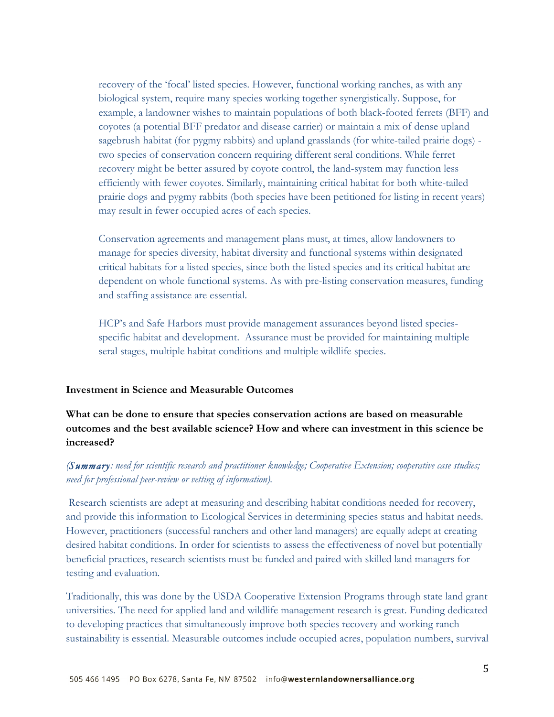recovery of the 'focal' listed species. However, functional working ranches, as with any biological system, require many species working together synergistically. Suppose, for example, a landowner wishes to maintain populations of both black-footed ferrets (BFF) and coyotes (a potential BFF predator and disease carrier) or maintain a mix of dense upland sagebrush habitat (for pygmy rabbits) and upland grasslands (for white-tailed prairie dogs) two species of conservation concern requiring different seral conditions. While ferret recovery might be better assured by coyote control, the land-system may function less efficiently with fewer coyotes. Similarly, maintaining critical habitat for both white-tailed prairie dogs and pygmy rabbits (both species have been petitioned for listing in recent years) may result in fewer occupied acres of each species.

Conservation agreements and management plans must, at times, allow landowners to manage for species diversity, habitat diversity and functional systems within designated critical habitats for a listed species, since both the listed species and its critical habitat are dependent on whole functional systems. As with pre-listing conservation measures, funding and staffing assistance are essential.

HCP's and Safe Harbors must provide management assurances beyond listed speciesspecific habitat and development. Assurance must be provided for maintaining multiple seral stages, multiple habitat conditions and multiple wildlife species.

### **Investment in Science and Measurable Outcomes**

**What can be done to ensure that species conservation actions are based on measurable outcomes and the best available science? How and where can investment in this science be increased?**

# *(Summary: need for scientific research and practitioner knowledge; Cooperative Extension; cooperative case studies; need for professional peer-review or vetting of information).*

Research scientists are adept at measuring and describing habitat conditions needed for recovery, and provide this information to Ecological Services in determining species status and habitat needs. However, practitioners (successful ranchers and other land managers) are equally adept at creating desired habitat conditions. In order for scientists to assess the effectiveness of novel but potentially beneficial practices, research scientists must be funded and paired with skilled land managers for testing and evaluation.

Traditionally, this was done by the USDA Cooperative Extension Programs through state land grant universities. The need for applied land and wildlife management research is great. Funding dedicated to developing practices that simultaneously improve both species recovery and working ranch sustainability is essential. Measurable outcomes include occupied acres, population numbers, survival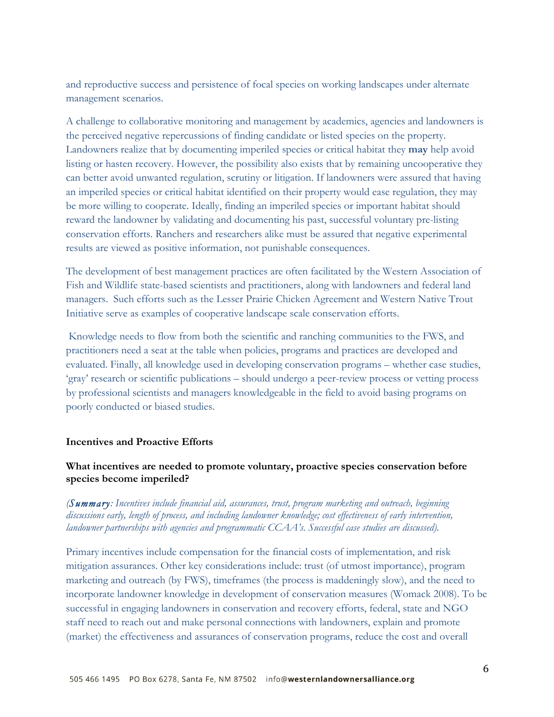and reproductive success and persistence of focal species on working landscapes under alternate management scenarios.

A challenge to collaborative monitoring and management by academics, agencies and landowners is the perceived negative repercussions of finding candidate or listed species on the property. Landowners realize that by documenting imperiled species or critical habitat they **may** help avoid listing or hasten recovery. However, the possibility also exists that by remaining uncooperative they can better avoid unwanted regulation, scrutiny or litigation. If landowners were assured that having an imperiled species or critical habitat identified on their property would ease regulation, they may be more willing to cooperate. Ideally, finding an imperiled species or important habitat should reward the landowner by validating and documenting his past, successful voluntary pre-listing conservation efforts. Ranchers and researchers alike must be assured that negative experimental results are viewed as positive information, not punishable consequences.

The development of best management practices are often facilitated by the Western Association of Fish and Wildlife state-based scientists and practitioners, along with landowners and federal land managers. Such efforts such as the Lesser Prairie Chicken Agreement and Western Native Trout Initiative serve as examples of cooperative landscape scale conservation efforts.

Knowledge needs to flow from both the scientific and ranching communities to the FWS, and practitioners need a seat at the table when policies, programs and practices are developed and evaluated. Finally, all knowledge used in developing conservation programs – whether case studies, 'gray' research or scientific publications – should undergo a peer-review process or vetting process by professional scientists and managers knowledgeable in the field to avoid basing programs on poorly conducted or biased studies.

### **Incentives and Proactive Efforts**

### **What incentives are needed to promote voluntary, proactive species conservation before species become imperiled?**

# *(Summary: Incentives include financial aid, assurances, trust, program marketing and outreach, beginning discussions early, length of process, and including landowner knowledge; cost effectiveness of early intervention, landowner partnerships with agencies and programmatic CCAA's. Successful case studies are discussed).*

Primary incentives include compensation for the financial costs of implementation, and risk mitigation assurances. Other key considerations include: trust (of utmost importance), program marketing and outreach (by FWS), timeframes (the process is maddeningly slow), and the need to incorporate landowner knowledge in development of conservation measures (Womack 2008). To be successful in engaging landowners in conservation and recovery efforts, federal, state and NGO staff need to reach out and make personal connections with landowners, explain and promote (market) the effectiveness and assurances of conservation programs, reduce the cost and overall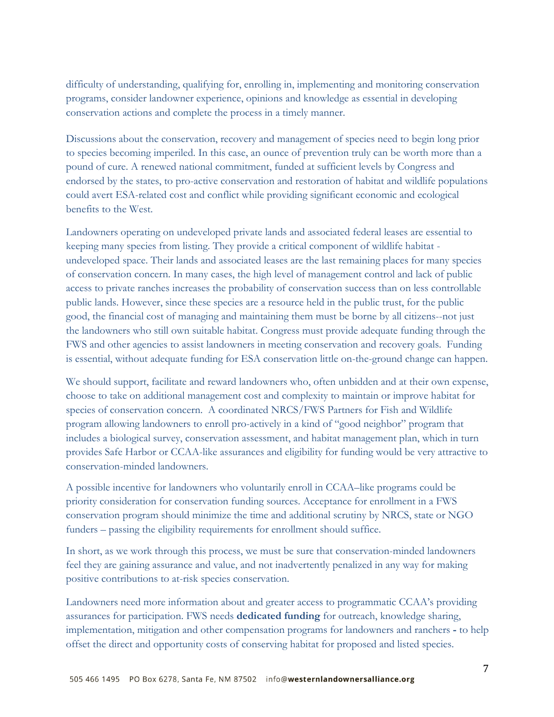difficulty of understanding, qualifying for, enrolling in, implementing and monitoring conservation programs, consider landowner experience, opinions and knowledge as essential in developing conservation actions and complete the process in a timely manner.

Discussions about the conservation, recovery and management of species need to begin long prior to species becoming imperiled. In this case, an ounce of prevention truly can be worth more than a pound of cure. A renewed national commitment, funded at sufficient levels by Congress and endorsed by the states, to pro-active conservation and restoration of habitat and wildlife populations could avert ESA-related cost and conflict while providing significant economic and ecological benefits to the West.

Landowners operating on undeveloped private lands and associated federal leases are essential to keeping many species from listing. They provide a critical component of wildlife habitat undeveloped space. Their lands and associated leases are the last remaining places for many species of conservation concern. In many cases, the high level of management control and lack of public access to private ranches increases the probability of conservation success than on less controllable public lands. However, since these species are a resource held in the public trust, for the public good, the financial cost of managing and maintaining them must be borne by all citizens--not just the landowners who still own suitable habitat. Congress must provide adequate funding through the FWS and other agencies to assist landowners in meeting conservation and recovery goals. Funding is essential, without adequate funding for ESA conservation little on-the-ground change can happen.

We should support, facilitate and reward landowners who, often unbidden and at their own expense, choose to take on additional management cost and complexity to maintain or improve habitat for species of conservation concern. A coordinated NRCS/FWS Partners for Fish and Wildlife program allowing landowners to enroll pro-actively in a kind of "good neighbor" program that includes a biological survey, conservation assessment, and habitat management plan, which in turn provides Safe Harbor or CCAA-like assurances and eligibility for funding would be very attractive to conservation-minded landowners.

A possible incentive for landowners who voluntarily enroll in CCAA–like programs could be priority consideration for conservation funding sources. Acceptance for enrollment in a FWS conservation program should minimize the time and additional scrutiny by NRCS, state or NGO funders – passing the eligibility requirements for enrollment should suffice.

In short, as we work through this process, we must be sure that conservation-minded landowners feel they are gaining assurance and value, and not inadvertently penalized in any way for making positive contributions to at-risk species conservation.

Landowners need more information about and greater access to programmatic CCAA's providing assurances for participation. FWS needs **dedicated funding** for outreach, knowledge sharing, implementation, mitigation and other compensation programs for landowners and ranchers **-** to help offset the direct and opportunity costs of conserving habitat for proposed and listed species.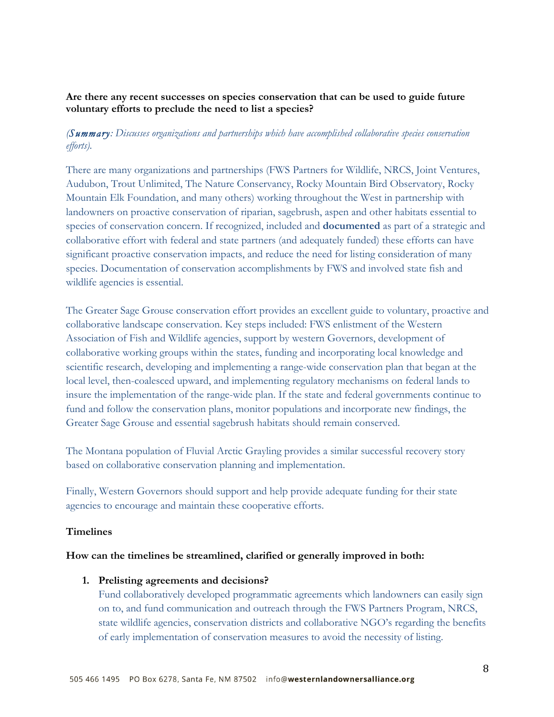# **Are there any recent successes on species conservation that can be used to guide future voluntary efforts to preclude the need to list a species?**

# *(Summary: Discusses organizations and partnerships which have accomplished collaborative species conservation efforts).*

There are many organizations and partnerships (FWS Partners for Wildlife, NRCS, Joint Ventures, Audubon, Trout Unlimited, The Nature Conservancy, Rocky Mountain Bird Observatory, Rocky Mountain Elk Foundation, and many others) working throughout the West in partnership with landowners on proactive conservation of riparian, sagebrush, aspen and other habitats essential to species of conservation concern. If recognized, included and **documented** as part of a strategic and collaborative effort with federal and state partners (and adequately funded) these efforts can have significant proactive conservation impacts, and reduce the need for listing consideration of many species. Documentation of conservation accomplishments by FWS and involved state fish and wildlife agencies is essential.

The Greater Sage Grouse conservation effort provides an excellent guide to voluntary, proactive and collaborative landscape conservation. Key steps included: FWS enlistment of the Western Association of Fish and Wildlife agencies, support by western Governors, development of collaborative working groups within the states, funding and incorporating local knowledge and scientific research, developing and implementing a range-wide conservation plan that began at the local level, then-coalesced upward, and implementing regulatory mechanisms on federal lands to insure the implementation of the range-wide plan. If the state and federal governments continue to fund and follow the conservation plans, monitor populations and incorporate new findings, the Greater Sage Grouse and essential sagebrush habitats should remain conserved.

The Montana population of Fluvial Arctic Grayling provides a similar successful recovery story based on collaborative conservation planning and implementation.

Finally, Western Governors should support and help provide adequate funding for their state agencies to encourage and maintain these cooperative efforts.

# **Timelines**

### **How can the timelines be streamlined, clarified or generally improved in both:**

### **1. Prelisting agreements and decisions?**

Fund collaboratively developed programmatic agreements which landowners can easily sign on to, and fund communication and outreach through the FWS Partners Program, NRCS, state wildlife agencies, conservation districts and collaborative NGO's regarding the benefits of early implementation of conservation measures to avoid the necessity of listing.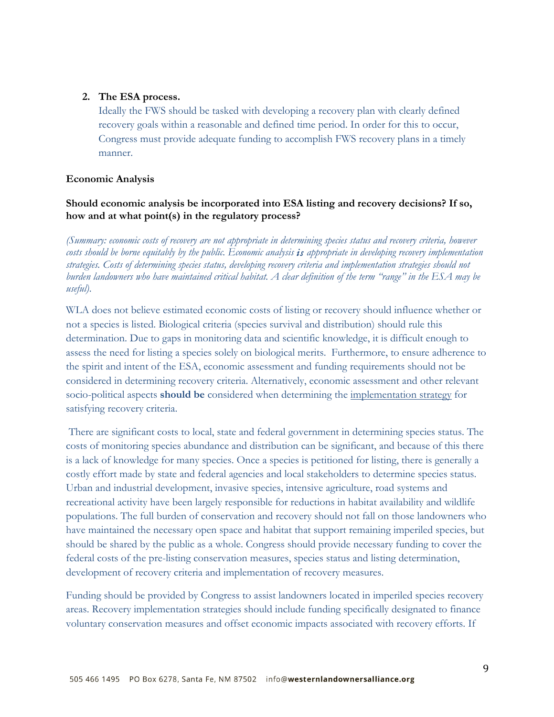### **2. The ESA process.**

Ideally the FWS should be tasked with developing a recovery plan with clearly defined recovery goals within a reasonable and defined time period. In order for this to occur, Congress must provide adequate funding to accomplish FWS recovery plans in a timely manner.

### **Economic Analysis**

# **Should economic analysis be incorporated into ESA listing and recovery decisions? If so, how and at what point(s) in the regulatory process?**

*(Summary: economic costs of recovery are not appropriate in determining species status and recovery criteria, however costs should be borne equitably by the public. Economic analysis is appropriate in developing recovery implementation strategies. Costs of determining species status, developing recovery criteria and implementation strategies should not burden landowners who have maintained critical habitat. A clear definition of the term "range" in the ESA may be useful)*.

WLA does not believe estimated economic costs of listing or recovery should influence whether or not a species is listed. Biological criteria (species survival and distribution) should rule this determination. Due to gaps in monitoring data and scientific knowledge, it is difficult enough to assess the need for listing a species solely on biological merits. Furthermore, to ensure adherence to the spirit and intent of the ESA, economic assessment and funding requirements should not be considered in determining recovery criteria. Alternatively, economic assessment and other relevant socio-political aspects **should be** considered when determining the implementation strategy for satisfying recovery criteria.

There are significant costs to local, state and federal government in determining species status. The costs of monitoring species abundance and distribution can be significant, and because of this there is a lack of knowledge for many species. Once a species is petitioned for listing, there is generally a costly effort made by state and federal agencies and local stakeholders to determine species status. Urban and industrial development, invasive species, intensive agriculture, road systems and recreational activity have been largely responsible for reductions in habitat availability and wildlife populations. The full burden of conservation and recovery should not fall on those landowners who have maintained the necessary open space and habitat that support remaining imperiled species, but should be shared by the public as a whole. Congress should provide necessary funding to cover the federal costs of the pre-listing conservation measures, species status and listing determination, development of recovery criteria and implementation of recovery measures.

Funding should be provided by Congress to assist landowners located in imperiled species recovery areas. Recovery implementation strategies should include funding specifically designated to finance voluntary conservation measures and offset economic impacts associated with recovery efforts. If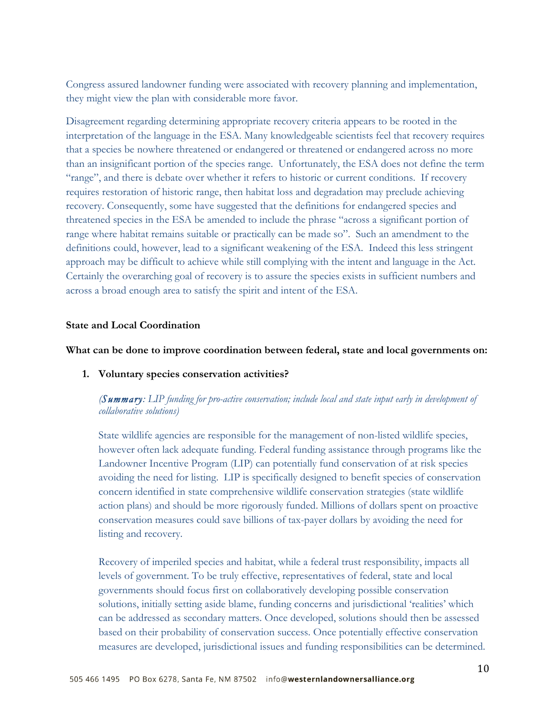Congress assured landowner funding were associated with recovery planning and implementation, they might view the plan with considerable more favor.

Disagreement regarding determining appropriate recovery criteria appears to be rooted in the interpretation of the language in the ESA. Many knowledgeable scientists feel that recovery requires that a species be nowhere threatened or endangered or threatened or endangered across no more than an insignificant portion of the species range. Unfortunately, the ESA does not define the term "range", and there is debate over whether it refers to historic or current conditions. If recovery requires restoration of historic range, then habitat loss and degradation may preclude achieving recovery. Consequently, some have suggested that the definitions for endangered species and threatened species in the ESA be amended to include the phrase "across a significant portion of range where habitat remains suitable or practically can be made so". Such an amendment to the definitions could, however, lead to a significant weakening of the ESA. Indeed this less stringent approach may be difficult to achieve while still complying with the intent and language in the Act. Certainly the overarching goal of recovery is to assure the species exists in sufficient numbers and across a broad enough area to satisfy the spirit and intent of the ESA.

### **State and Local Coordination**

#### **What can be done to improve coordination between federal, state and local governments on:**

**1. Voluntary species conservation activities?**

# *(Summary: LIP funding for pro-active conservation; include local and state input early in development of collaborative solutions)*

State wildlife agencies are responsible for the management of non-listed wildlife species, however often lack adequate funding. Federal funding assistance through programs like the Landowner Incentive Program (LIP) can potentially fund conservation of at risk species avoiding the need for listing. LIP is specifically designed to benefit species of conservation concern identified in state comprehensive wildlife conservation strategies (state wildlife action plans) and should be more rigorously funded. Millions of dollars spent on proactive conservation measures could save billions of tax-payer dollars by avoiding the need for listing and recovery.

Recovery of imperiled species and habitat, while a federal trust responsibility, impacts all levels of government. To be truly effective, representatives of federal, state and local governments should focus first on collaboratively developing possible conservation solutions, initially setting aside blame, funding concerns and jurisdictional 'realities' which can be addressed as secondary matters. Once developed, solutions should then be assessed based on their probability of conservation success. Once potentially effective conservation measures are developed, jurisdictional issues and funding responsibilities can be determined.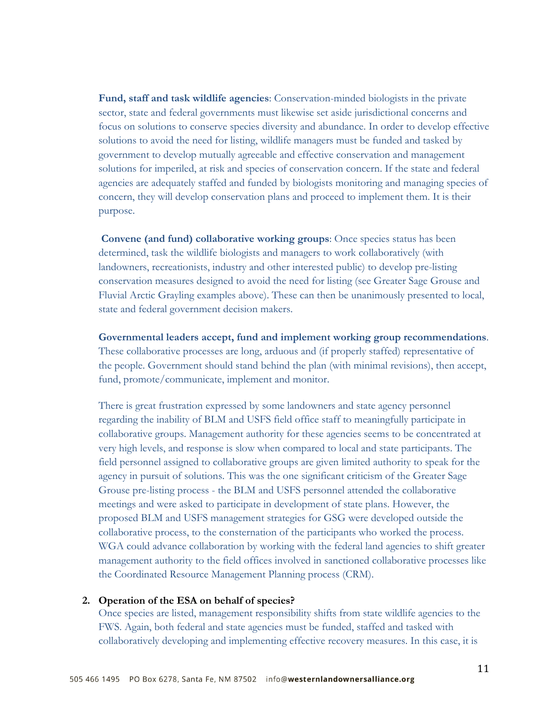**Fund, staff and task wildlife agencies**: Conservation-minded biologists in the private sector, state and federal governments must likewise set aside jurisdictional concerns and focus on solutions to conserve species diversity and abundance. In order to develop effective solutions to avoid the need for listing, wildlife managers must be funded and tasked by government to develop mutually agreeable and effective conservation and management solutions for imperiled, at risk and species of conservation concern. If the state and federal agencies are adequately staffed and funded by biologists monitoring and managing species of concern, they will develop conservation plans and proceed to implement them. It is their purpose.

**Convene (and fund) collaborative working groups**: Once species status has been determined, task the wildlife biologists and managers to work collaboratively (with landowners, recreationists, industry and other interested public) to develop pre-listing conservation measures designed to avoid the need for listing (see Greater Sage Grouse and Fluvial Arctic Grayling examples above). These can then be unanimously presented to local, state and federal government decision makers.

**Governmental leaders accept, fund and implement working group recommendations**. These collaborative processes are long, arduous and (if properly staffed) representative of the people. Government should stand behind the plan (with minimal revisions), then accept, fund, promote/communicate, implement and monitor.

There is great frustration expressed by some landowners and state agency personnel regarding the inability of BLM and USFS field office staff to meaningfully participate in collaborative groups. Management authority for these agencies seems to be concentrated at very high levels, and response is slow when compared to local and state participants. The field personnel assigned to collaborative groups are given limited authority to speak for the agency in pursuit of solutions. This was the one significant criticism of the Greater Sage Grouse pre-listing process - the BLM and USFS personnel attended the collaborative meetings and were asked to participate in development of state plans. However, the proposed BLM and USFS management strategies for GSG were developed outside the collaborative process, to the consternation of the participants who worked the process. WGA could advance collaboration by working with the federal land agencies to shift greater management authority to the field offices involved in sanctioned collaborative processes like the Coordinated Resource Management Planning process (CRM).

#### **2. Operation of the ESA on behalf of species?**

Once species are listed, management responsibility shifts from state wildlife agencies to the FWS. Again, both federal and state agencies must be funded, staffed and tasked with collaboratively developing and implementing effective recovery measures. In this case, it is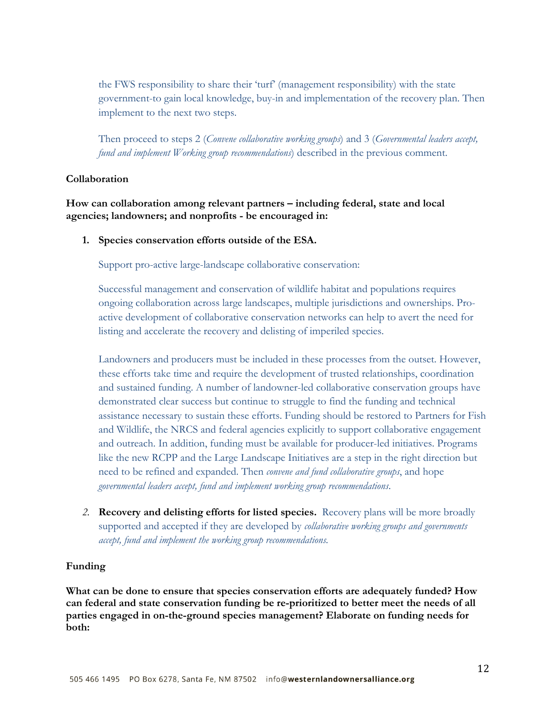the FWS responsibility to share their 'turf' (management responsibility) with the state government-to gain local knowledge, buy-in and implementation of the recovery plan. Then implement to the next two steps.

Then proceed to steps 2 (*Convene collaborative working groups*) and 3 (*Governmental leaders accept, fund and implement Working group recommendations*) described in the previous comment.

### **Collaboration**

**How can collaboration among relevant partners – including federal, state and local agencies; landowners; and nonprofits - be encouraged in:**

**1. Species conservation efforts outside of the ESA.**

Support pro-active large-landscape collaborative conservation:

Successful management and conservation of wildlife habitat and populations requires ongoing collaboration across large landscapes, multiple jurisdictions and ownerships. Proactive development of collaborative conservation networks can help to avert the need for listing and accelerate the recovery and delisting of imperiled species.

Landowners and producers must be included in these processes from the outset. However, these efforts take time and require the development of trusted relationships, coordination and sustained funding. A number of landowner-led collaborative conservation groups have demonstrated clear success but continue to struggle to find the funding and technical assistance necessary to sustain these efforts. Funding should be restored to Partners for Fish and Wildlife, the NRCS and federal agencies explicitly to support collaborative engagement and outreach. In addition, funding must be available for producer-led initiatives. Programs like the new RCPP and the Large Landscape Initiatives are a step in the right direction but need to be refined and expanded. Then *convene and fund collaborative groups*, and hope *governmental leaders accept, fund and implement working group recommendations*.

*2.* **Recovery and delisting efforts for listed species.** Recovery plans will be more broadly supported and accepted if they are developed by *collaborative working groups and governments accept, fund and implement the working group recommendations.*

#### **Funding**

**What can be done to ensure that species conservation efforts are adequately funded? How can federal and state conservation funding be re-prioritized to better meet the needs of all parties engaged in on-the-ground species management? Elaborate on funding needs for both:**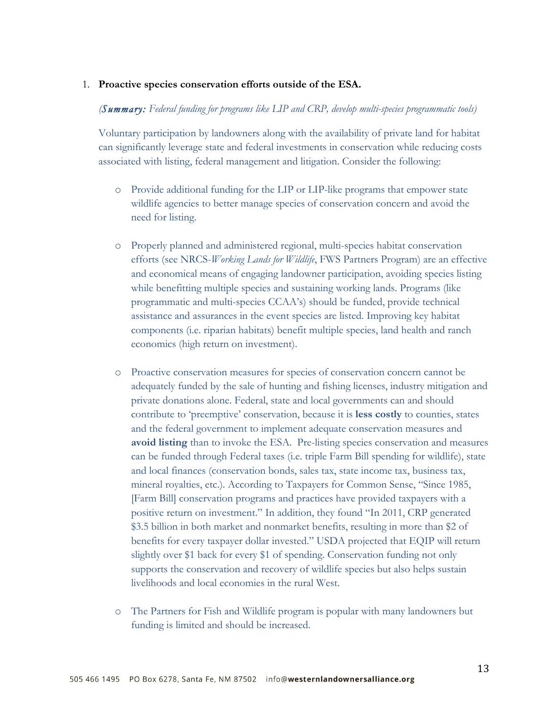#### 1. **Proactive species conservation efforts outside of the ESA.**

#### *(Summary: Federal funding for programs like LIP and CRP, develop multi-species programmatic tools)*

Voluntary participation by landowners along with the availability of private land for habitat can significantly leverage state and federal investments in conservation while reducing costs associated with listing, federal management and litigation. Consider the following:

- o Provide additional funding for the LIP or LIP-like programs that empower state wildlife agencies to better manage species of conservation concern and avoid the need for listing.
- o Properly planned and administered regional, multi-species habitat conservation efforts (see NRCS-*Working Lands for Wildlife*, FWS Partners Program) are an effective and economical means of engaging landowner participation, avoiding species listing while benefitting multiple species and sustaining working lands. Programs (like programmatic and multi-species CCAA's) should be funded, provide technical assistance and assurances in the event species are listed. Improving key habitat components (i.e. riparian habitats) benefit multiple species, land health and ranch economics (high return on investment).
- o Proactive conservation measures for species of conservation concern cannot be adequately funded by the sale of hunting and fishing licenses, industry mitigation and private donations alone. Federal, state and local governments can and should contribute to 'preemptive' conservation, because it is **less costly** to counties, states and the federal government to implement adequate conservation measures and **avoid listing** than to invoke the ESA. Pre-listing species conservation and measures can be funded through Federal taxes (i.e. triple Farm Bill spending for wildlife), state and local finances (conservation bonds, sales tax, state income tax, business tax, mineral royalties, etc.). According to Taxpayers for Common Sense, "Since 1985, [Farm Bill] conservation programs and practices have provided taxpayers with a positive return on investment." In addition, they found "In 2011, CRP generated \$3.5 billion in both market and nonmarket benefits, resulting in more than \$2 of benefits for every taxpayer dollar invested." USDA projected that EQIP will return slightly over \$1 back for every \$1 of spending. Conservation funding not only supports the conservation and recovery of wildlife species but also helps sustain livelihoods and local economies in the rural West.
- o The Partners for Fish and Wildlife program is popular with many landowners but funding is limited and should be increased.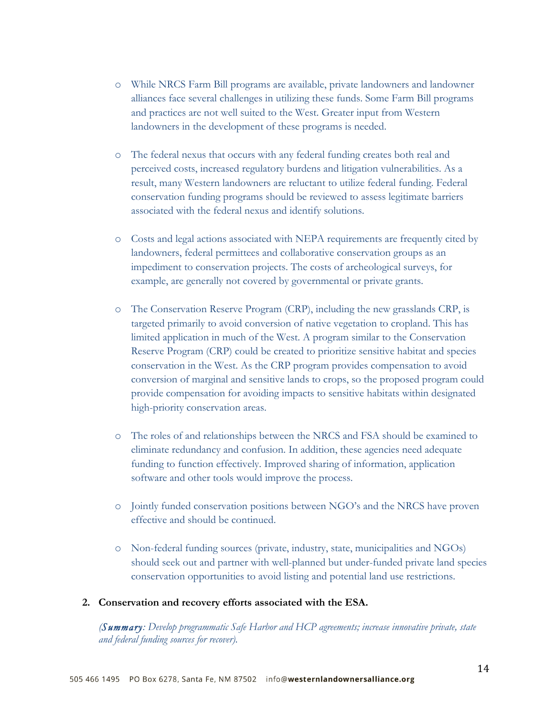- o While NRCS Farm Bill programs are available, private landowners and landowner alliances face several challenges in utilizing these funds. Some Farm Bill programs and practices are not well suited to the West. Greater input from Western landowners in the development of these programs is needed.
- o The federal nexus that occurs with any federal funding creates both real and perceived costs, increased regulatory burdens and litigation vulnerabilities. As a result, many Western landowners are reluctant to utilize federal funding. Federal conservation funding programs should be reviewed to assess legitimate barriers associated with the federal nexus and identify solutions.
- o Costs and legal actions associated with NEPA requirements are frequently cited by landowners, federal permittees and collaborative conservation groups as an impediment to conservation projects. The costs of archeological surveys, for example, are generally not covered by governmental or private grants.
- o The Conservation Reserve Program (CRP), including the new grasslands CRP, is targeted primarily to avoid conversion of native vegetation to cropland. This has limited application in much of the West. A program similar to the Conservation Reserve Program (CRP) could be created to prioritize sensitive habitat and species conservation in the West. As the CRP program provides compensation to avoid conversion of marginal and sensitive lands to crops, so the proposed program could provide compensation for avoiding impacts to sensitive habitats within designated high-priority conservation areas.
- o The roles of and relationships between the NRCS and FSA should be examined to eliminate redundancy and confusion. In addition, these agencies need adequate funding to function effectively. Improved sharing of information, application software and other tools would improve the process.
- o Jointly funded conservation positions between NGO's and the NRCS have proven effective and should be continued.
- o Non-federal funding sources (private, industry, state, municipalities and NGOs) should seek out and partner with well-planned but under-funded private land species conservation opportunities to avoid listing and potential land use restrictions.

### **2. Conservation and recovery efforts associated with the ESA.**

*(Summary: Develop programmatic Safe Harbor and HCP agreements; increase innovative private, state and federal funding sources for recover).*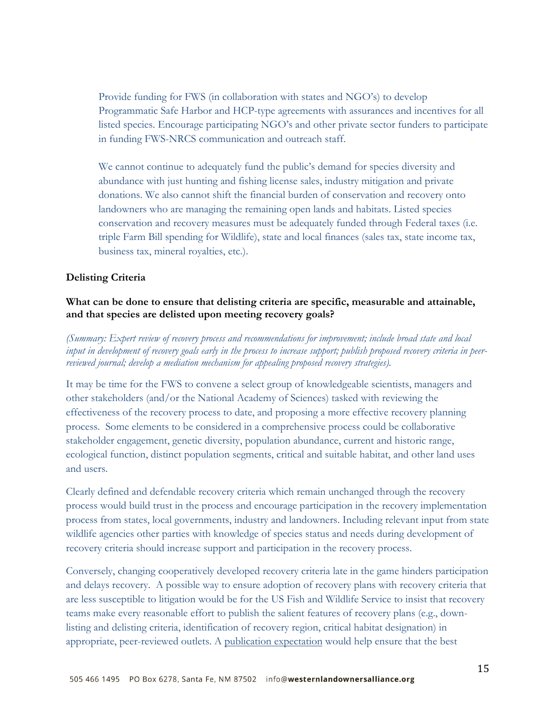Provide funding for FWS (in collaboration with states and NGO's) to develop Programmatic Safe Harbor and HCP-type agreements with assurances and incentives for all listed species. Encourage participating NGO's and other private sector funders to participate in funding FWS-NRCS communication and outreach staff.

We cannot continue to adequately fund the public's demand for species diversity and abundance with just hunting and fishing license sales, industry mitigation and private donations. We also cannot shift the financial burden of conservation and recovery onto landowners who are managing the remaining open lands and habitats. Listed species conservation and recovery measures must be adequately funded through Federal taxes (i.e. triple Farm Bill spending for Wildlife), state and local finances (sales tax, state income tax, business tax, mineral royalties, etc.).

# **Delisting Criteria**

# **What can be done to ensure that delisting criteria are specific, measurable and attainable, and that species are delisted upon meeting recovery goals?**

*(Summary: Expert review of recovery process and recommendations for improvement; include broad state and local input in development of recovery goals early in the process to increase support; publish proposed recovery criteria in peerreviewed journal; develop a mediation mechanism for appealing proposed recovery strategies).*

It may be time for the FWS to convene a select group of knowledgeable scientists, managers and other stakeholders (and/or the National Academy of Sciences) tasked with reviewing the effectiveness of the recovery process to date, and proposing a more effective recovery planning process. Some elements to be considered in a comprehensive process could be collaborative stakeholder engagement, genetic diversity, population abundance, current and historic range, ecological function, distinct population segments, critical and suitable habitat, and other land uses and users.

Clearly defined and defendable recovery criteria which remain unchanged through the recovery process would build trust in the process and encourage participation in the recovery implementation process from states, local governments, industry and landowners. Including relevant input from state wildlife agencies other parties with knowledge of species status and needs during development of recovery criteria should increase support and participation in the recovery process.

Conversely, changing cooperatively developed recovery criteria late in the game hinders participation and delays recovery. A possible way to ensure adoption of recovery plans with recovery criteria that are less susceptible to litigation would be for the US Fish and Wildlife Service to insist that recovery teams make every reasonable effort to publish the salient features of recovery plans (e.g., downlisting and delisting criteria, identification of recovery region, critical habitat designation) in appropriate, peer-reviewed outlets. A publication expectation would help ensure that the best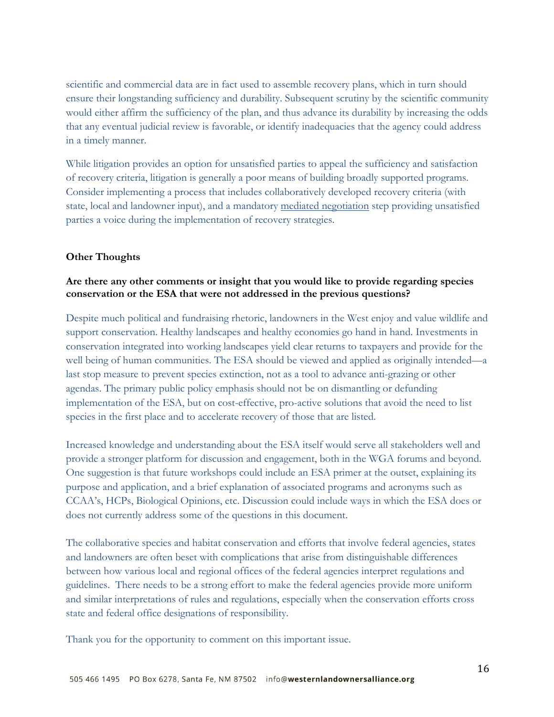scientific and commercial data are in fact used to assemble recovery plans, which in turn should ensure their longstanding sufficiency and durability. Subsequent scrutiny by the scientific community would either affirm the sufficiency of the plan, and thus advance its durability by increasing the odds that any eventual judicial review is favorable, or identify inadequacies that the agency could address in a timely manner.

While litigation provides an option for unsatisfied parties to appeal the sufficiency and satisfaction of recovery criteria, litigation is generally a poor means of building broadly supported programs. Consider implementing a process that includes collaboratively developed recovery criteria (with state, local and landowner input), and a mandatory mediated negotiation step providing unsatisfied parties a voice during the implementation of recovery strategies.

### **Other Thoughts**

## **Are there any other comments or insight that you would like to provide regarding species conservation or the ESA that were not addressed in the previous questions?**

Despite much political and fundraising rhetoric, landowners in the West enjoy and value wildlife and support conservation. Healthy landscapes and healthy economies go hand in hand. Investments in conservation integrated into working landscapes yield clear returns to taxpayers and provide for the well being of human communities. The ESA should be viewed and applied as originally intended—a last stop measure to prevent species extinction, not as a tool to advance anti-grazing or other agendas. The primary public policy emphasis should not be on dismantling or defunding implementation of the ESA, but on cost-effective, pro-active solutions that avoid the need to list species in the first place and to accelerate recovery of those that are listed.

Increased knowledge and understanding about the ESA itself would serve all stakeholders well and provide a stronger platform for discussion and engagement, both in the WGA forums and beyond. One suggestion is that future workshops could include an ESA primer at the outset, explaining its purpose and application, and a brief explanation of associated programs and acronyms such as CCAA's, HCPs, Biological Opinions, etc. Discussion could include ways in which the ESA does or does not currently address some of the questions in this document.

The collaborative species and habitat conservation and efforts that involve federal agencies, states and landowners are often beset with complications that arise from distinguishable differences between how various local and regional offices of the federal agencies interpret regulations and guidelines. There needs to be a strong effort to make the federal agencies provide more uniform and similar interpretations of rules and regulations, especially when the conservation efforts cross state and federal office designations of responsibility.

Thank you for the opportunity to comment on this important issue.